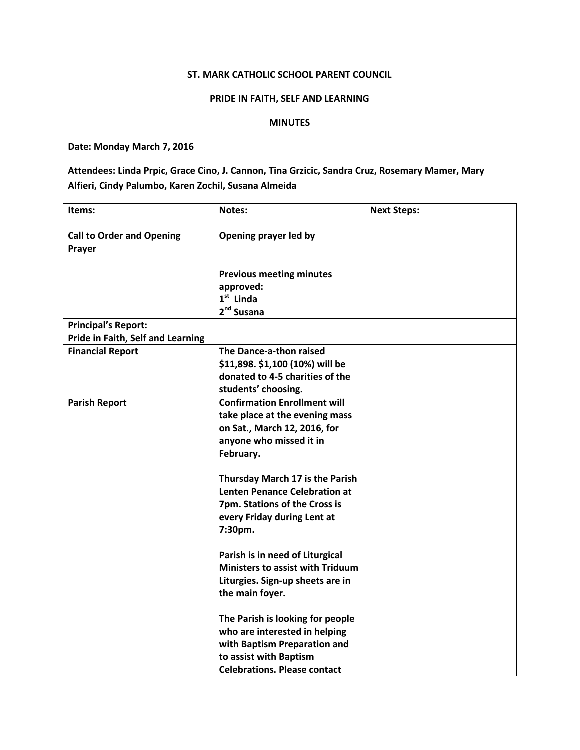## ST. MARK CATHOLIC SCHOOL PARENT COUNCIL

## PRIDE IN FAITH, SELF AND LEARNING

## MINUTES

## Date: Monday March 7, 2016

Attendees: Linda Prpic, Grace Cino, J. Cannon, Tina Grzicic, Sandra Cruz, Rosemary Mamer, Mary Alfieri, Cindy Palumbo, Karen Zochil, Susana Almeida

| Items:                                     | <b>Notes:</b>                                                                                                                                                      | <b>Next Steps:</b> |
|--------------------------------------------|--------------------------------------------------------------------------------------------------------------------------------------------------------------------|--------------------|
| <b>Call to Order and Opening</b><br>Prayer | Opening prayer led by                                                                                                                                              |                    |
|                                            | <b>Previous meeting minutes</b><br>approved:<br>$1st$ Linda<br>$2nd$ Susana                                                                                        |                    |
| <b>Principal's Report:</b>                 |                                                                                                                                                                    |                    |
| Pride in Faith, Self and Learning          |                                                                                                                                                                    |                    |
| <b>Financial Report</b>                    | The Dance-a-thon raised<br>\$11,898. \$1,100 (10%) will be<br>donated to 4-5 charities of the<br>students' choosing.                                               |                    |
| <b>Parish Report</b>                       | <b>Confirmation Enrollment will</b><br>take place at the evening mass<br>on Sat., March 12, 2016, for<br>anyone who missed it in<br>February.                      |                    |
|                                            | Thursday March 17 is the Parish<br><b>Lenten Penance Celebration at</b><br>7pm. Stations of the Cross is<br>every Friday during Lent at<br>7:30pm.                 |                    |
|                                            | Parish is in need of Liturgical<br><b>Ministers to assist with Triduum</b><br>Liturgies. Sign-up sheets are in<br>the main foyer.                                  |                    |
|                                            | The Parish is looking for people<br>who are interested in helping<br>with Baptism Preparation and<br>to assist with Baptism<br><b>Celebrations. Please contact</b> |                    |